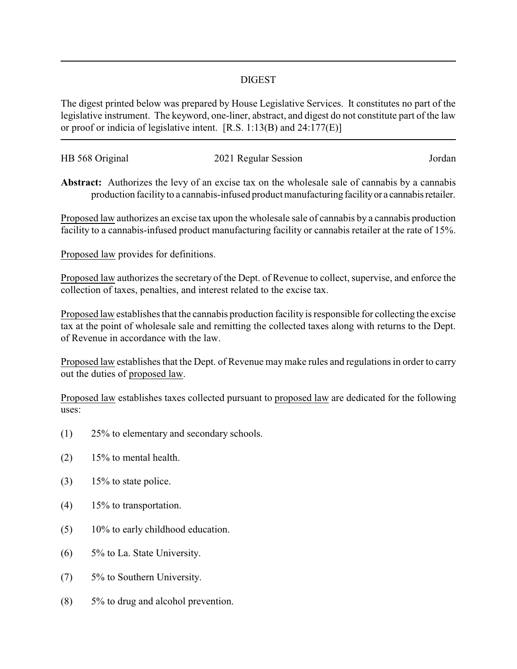## DIGEST

The digest printed below was prepared by House Legislative Services. It constitutes no part of the legislative instrument. The keyword, one-liner, abstract, and digest do not constitute part of the law or proof or indicia of legislative intent. [R.S. 1:13(B) and 24:177(E)]

| HB 568 Original | 2021 Regular Session | Jordan |
|-----------------|----------------------|--------|
|                 |                      |        |

**Abstract:** Authorizes the levy of an excise tax on the wholesale sale of cannabis by a cannabis production facility to a cannabis-infused product manufacturing facility or a cannabis retailer.

Proposed law authorizes an excise tax upon the wholesale sale of cannabis by a cannabis production facility to a cannabis-infused product manufacturing facility or cannabis retailer at the rate of 15%.

Proposed law provides for definitions.

Proposed law authorizes the secretary of the Dept. of Revenue to collect, supervise, and enforce the collection of taxes, penalties, and interest related to the excise tax.

Proposed law establishes that the cannabis production facility is responsible for collecting the excise tax at the point of wholesale sale and remitting the collected taxes along with returns to the Dept. of Revenue in accordance with the law.

Proposed law establishes that the Dept. of Revenue may make rules and regulations in order to carry out the duties of proposed law.

Proposed law establishes taxes collected pursuant to proposed law are dedicated for the following uses:

- (1) 25% to elementary and secondary schools.
- $(2)$  15% to mental health.
- $(3)$  15% to state police.
- (4) 15% to transportation.
- (5) 10% to early childhood education.
- (6) 5% to La. State University.
- (7) 5% to Southern University.
- (8) 5% to drug and alcohol prevention.